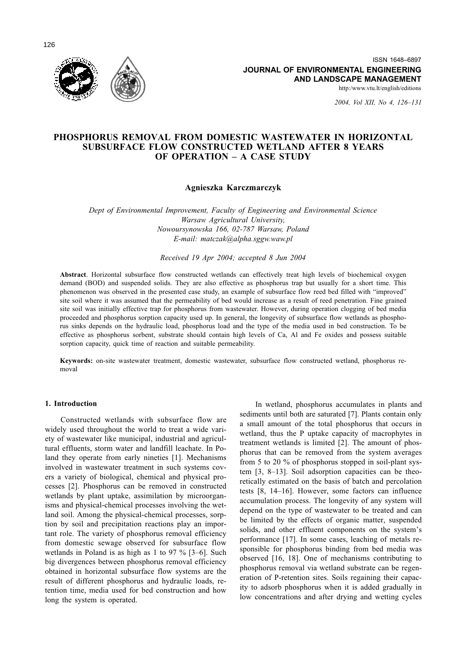

http:/www.vtu.lt/english/editions

2004, Vol XII, No 4, 126-131

# PHOSPHORUS REMOVAL FROM DOMESTIC WASTEWATER IN HORIZONTAL **SUBSURFACE FLOW CONSTRUCTED WETLAND AFTER 8 YEARS** OF OPERATION - A CASE STUDY

## Agnieszka Karczmarczyk

Dept of Environmental Improvement, Faculty of Engineering and Environmental Science Warsaw Agricultural University, Nowoursynowska 166, 02-787 Warsaw, Poland E-mail: matczak@alpha.sggw.waw.pl

### Received 19 Apr 2004; accepted 8 Jun 2004

Abstract. Horizontal subsurface flow constructed wetlands can effectively treat high levels of biochemical oxygen demand (BOD) and suspended solids. They are also effective as phosphorus trap but usually for a short time. This phenomenon was observed in the presented case study, an example of subsurface flow reed bed filled with "improved" site soil where it was assumed that the permeability of bed would increase as a result of reed penetration. Fine grained site soil was initially effective trap for phosphorus from wastewater. However, during operation clogging of bed media proceeded and phosphorus sorption capacity used up. In general, the longevity of subsurface flow wetlands as phosphorus sinks depends on the hydraulic load, phosphorus load and the type of the media used in bed construction. To be effective as phosphorus sorbent, substrate should contain high levels of Ca, Al and Fe oxides and possess suitable sorption capacity, quick time of reaction and suitable permeability.

Keywords: on-site wastewater treatment, domestic wastewater, subsurface flow constructed wetland, phosphorus removal

#### 1. Introduction

Constructed wetlands with subsurface flow are widely used throughout the world to treat a wide variety of wastewater like municipal, industrial and agricultural effluents, storm water and landfill leachate. In Poland they operate from early nineties [1]. Mechanisms involved in wastewater treatment in such systems covers a variety of biological, chemical and physical processes [2]. Phosphorus can be removed in constructed wetlands by plant uptake, assimilation by microorganisms and physical-chemical processes involving the wetland soil. Among the physical-chemical processes, sorption by soil and precipitation reactions play an important role. The variety of phosphorus removal efficiency from domestic sewage observed for subsurface flow wetlands in Poland is as high as 1 to 97  $\%$  [3–6]. Such big divergences between phosphorus removal efficiency obtained in horizontal subsurface flow systems are the result of different phosphorus and hydraulic loads, retention time, media used for bed construction and how long the system is operated.

In wetland, phosphorus accumulates in plants and sediments until both are saturated [7]. Plants contain only a small amount of the total phosphorus that occurs in wetland, thus the P uptake capacity of macrophytes in treatment wetlands is limited [2]. The amount of phosphorus that can be removed from the system averages from 5 to 20  $\%$  of phosphorus stopped in soil-plant system  $[3, 8-13]$ . Soil adsorption capacities can be theoretically estimated on the basis of batch and percolation tests [8, 14-16]. However, some factors can influence accumulation process. The longevity of any system will depend on the type of wastewater to be treated and can be limited by the effects of organic matter, suspended solids, and other effluent components on the system's performance [17]. In some cases, leaching of metals responsible for phosphorus binding from bed media was observed [16, 18]. One of mechanisms contributing to phosphorus removal via wetland substrate can be regeneration of P-retention sites. Soils regaining their capacity to adsorb phosphorus when it is added gradually in low concentrations and after drying and wetting cycles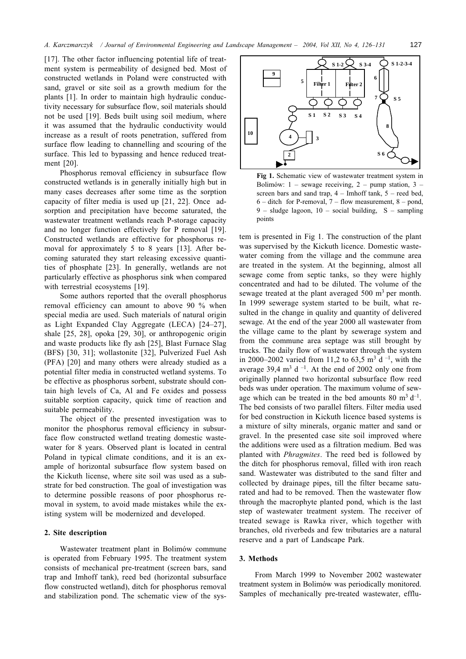[17]. The other factor influencing potential life of treatment system is permeability of designed bed. Most of constructed wetlands in Poland were constructed with sand, gravel or site soil as a growth medium for the plants [1]. In order to maintain high hydraulic conductivity necessary for subsurface flow, soil materials should not be used [19]. Beds built using soil medium, where it was assumed that the hydraulic conductivity would increase as a result of roots penetration, suffered from surface flow leading to channelling and scouring of the surface. This led to bypassing and hence reduced treatment  $[20]$ .

Phosphorus removal efficiency in subsurface flow constructed wetlands is in generally initially high but in many cases decreases after some time as the sorption capacity of filter media is used up [21, 22]. Once adsorption and precipitation have become saturated, the wastewater treatment wetlands reach P-storage capacity and no longer function effectively for P removal [19]. Constructed wetlands are effective for phosphorus removal for approximately 5 to 8 years [13]. After becoming saturated they start releasing excessive quantities of phosphate [23]. In generally, wetlands are not particularly effective as phosphorus sink when compared with terrestrial ecosystems [19].

Some authors reported that the overall phosphorus removal efficiency can amount to above 90 % when special media are used. Such materials of natural origin as Light Expanded Clay Aggregate (LECA) [24-27], shale [25, 28], opoka [29, 30], or anthropogenic origin and waste products like fly ash [25], Blast Furnace Slag (BFS) [30, 31]; wollastonite [32], Pulverized Fuel Ash (PFA) [20] and many others were already studied as a potential filter media in constructed wetland systems. To be effective as phosphorus sorbent, substrate should contain high levels of Ca, Al and Fe oxides and possess suitable sorption capacity, quick time of reaction and suitable permeability.

The object of the presented investigation was to monitor the phosphorus removal efficiency in subsurface flow constructed wetland treating domestic wastewater for 8 years. Observed plant is located in central Poland in typical climate conditions, and it is an example of horizontal subsurface flow system based on the Kickuth license, where site soil was used as a substrate for bed construction. The goal of investigation was to determine possible reasons of poor phosphorus removal in system, to avoid made mistakes while the existing system will be modernized and developed.

### 2. Site description

Wastewater treatment plant in Bolimów commune is operated from February 1995. The treatment system consists of mechanical pre-treatment (screen bars, sand trap and Imhoff tank), reed bed (horizontal subsurface flow constructed wetland), ditch for phosphorus removal and stabilization pond. The schematic view of the sys-



Fig 1. Schematic view of wastewater treatment system in Bolimów: 1 – sewage receiving, 2 – pump station, 3 – screen bars and sand trap,  $4 -$  Imhoff tank,  $5 -$  reed bed,  $6$  – ditch for P-removal,  $7$  – flow measurement,  $8$  – pond,  $9$  – sludge lagoon,  $10$  – social building, S – sampling points

tem is presented in Fig 1. The construction of the plant was supervised by the Kickuth licence. Domestic wastewater coming from the village and the commune area are treated in the system. At the beginning, almost all sewage come from septic tanks, so they were highly concentrated and had to be diluted. The volume of the sewage treated at the plant averaged  $500 \text{ m}^3$  per month. In 1999 sewerage system started to be built, what resulted in the change in quality and quantity of delivered sewage. At the end of the year 2000 all wastewater from the village came to the plant by sewerage system and from the commune area septage was still brought by trucks. The daily flow of wastewater through the system in 2000–2002 varied from 11,2 to 63,5 m<sup>3</sup> d<sup>-1</sup>, with the average 39,4  $m^3$  d<sup>-1</sup>. At the end of 2002 only one from originally planned two horizontal subsurface flow reed beds was under operation. The maximum volume of sewage which can be treated in the bed amounts 80  $m^3 d^{-1}$ . The bed consists of two parallel filters. Filter media used for bed construction in Kickuth licence based systems is a mixture of silty minerals, organic matter and sand or gravel. In the presented case site soil improved where the additions were used as a filtration medium. Bed was planted with *Phragmites*. The reed bed is followed by the ditch for phosphorus removal, filled with iron reach sand. Wastewater was distributed to the sand filter and collected by drainage pipes, till the filter became saturated and had to be removed. Then the wastewater flow through the macrophyte planted pond, which is the last step of wastewater treatment system. The receiver of treated sewage is Rawka river, which together with branches, old riverbeds and few tributaries are a natural reserve and a part of Landscape Park.

### 3. Methods

From March 1999 to November 2002 wastewater treatment system in Bolimów was periodically monitored. Samples of mechanically pre-treated wastewater, efflu-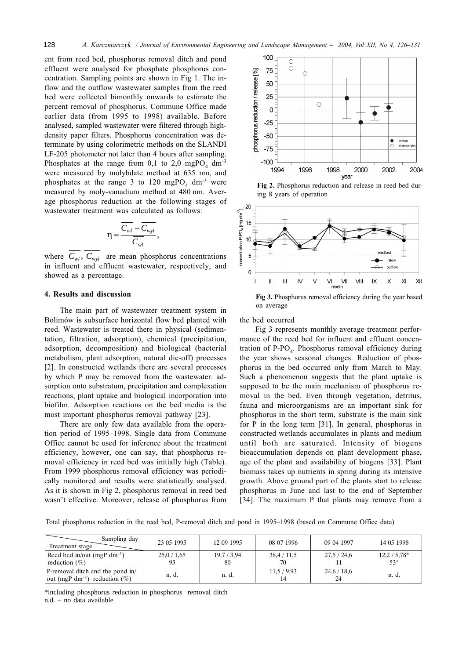ent from reed bed, phosphorus removal ditch and pond effluent were analysed for phosphate phosphorus concentration. Sampling points are shown in Fig 1. The inflow and the outflow wastewater samples from the reed bed were collected bimonthly onwards to estimate the percent removal of phosphorus. Commune Office made earlier data (from 1995 to 1998) available. Before analysed, sampled wastewater were filtered through highdensity paper filters. Phosphorus concentration was determinate by using colorimetric methods on the SLANDI LF-205 photometer not later than 4 hours after sampling. Phosphates at the range from 0,1 to 2,0 mgPO<sub>4</sub> dm<sup>-3</sup> were measured by molybdate method at 635 nm, and phosphates at the range 3 to 120 mgPO<sub>4</sub> dm<sup>-3</sup> were measured by moly-vanadium method at 480 nm. Average phosphorus reduction at the following stages of wastewater treatment was calculated as follows:

$$
\eta = \frac{\overline{C_{wl}} - \overline{C_{wyl}}}{\overline{C_{wl}}},
$$

where  $\overline{C_{wl}}$ ,  $\overline{C_{wyl}}$  are mean phosphorus concentrations in influent and effluent wastewater, respectively, and showed as a percentage.

#### 4. Results and discussion

The main part of wastewater treatment system in Bolimów is subsurface horizontal flow bed planted with reed. Wastewater is treated there in physical (sedimentation, filtration, adsorption), chemical (precipitation, adsorption, decomposition) and biological (bacterial metabolism, plant adsorption, natural die-off) processes [2]. In constructed wetlands there are several processes by which P may be removed from the wastewater: adsorption onto substratum, precipitation and complexation reactions, plant uptake and biological incorporation into biofilm. Adsorption reactions on the bed media is the most important phosphorus removal pathway [23].

There are only few data available from the operation period of 1995–1998. Single data from Commune Office cannot be used for inference about the treatment efficiency, however, one can say, that phosphorus removal efficiency in reed bed was initially high (Table). From 1999 phosphorus removal efficiency was periodically monitored and results were statistically analysed. As it is shown in Fig 2, phosphorus removal in reed bed wasn't effective. Moreover, release of phosphorus from



Fig 2. Phosphorus reduction and release in reed bed during 8 years of operation



Fig 3. Phosphorus removal efficiency during the year based on average

the bed occurred

Fig 3 represents monthly average treatment performance of the reed bed for influent and effluent concentration of  $P-PO<sub>4</sub>$ . Phosphorus removal efficiency during the year shows seasonal changes. Reduction of phosphorus in the bed occurred only from March to May. Such a phenomenon suggests that the plant uptake is supposed to be the main mechanism of phosphorus removal in the bed. Even through vegetation, detritus, fauna and microorganisms are an important sink for phosphorus in the short term, substrate is the main sink for  $P$  in the long term [31]. In general, phosphorus in constructed wetlands accumulates in plants and medium until both are saturated. Intensity of biogens bioaccumulation depends on plant development phase, age of the plant and availability of biogens [33]. Plant biomass takes up nutrients in spring during its intensive growth. Above ground part of the plants start to release phosphorus in June and last to the end of September [34]. The maximum P that plants may remove from a

Total phosphorus reduction in the reed bed, P-removal ditch and pond in 1995–1998 (based on Commune Office data)

| Sampling day<br>Treatment stage                                                 | 23 05 1995 | 12 09 1995      | 08 07 1996      | 09 04 1997      | 14 05 1998            |
|---------------------------------------------------------------------------------|------------|-----------------|-----------------|-----------------|-----------------------|
| Reed bed in/out (mgP dm <sup>-3</sup> )<br>reduction $(\%)$                     | 25,0/1,65  | 19,7/3,94<br>80 | 38,4/11,5<br>70 | 27.5/24.6       | $12,2/5,78*$<br>$53*$ |
| P-removal ditch and the pond in/<br>  out (mgP dm <sup>-3</sup> ) reduction (%) | n. d.      | n. d.           | 11,5/9,93<br>14 | 24,6/18,6<br>24 | n. d.                 |

\*including phosphorus reduction in phosphorus removal ditch n.d. - no data available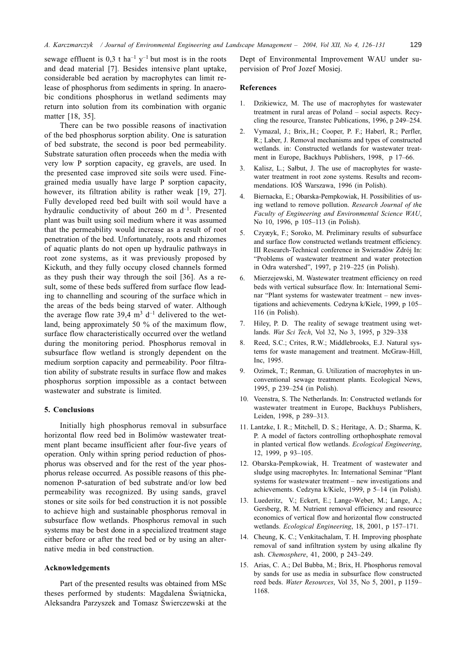sewage effluent is 0,3 t ha<sup>-1</sup> y<sup>-1</sup> but most is in the roots and dead material [7]. Besides intensive plant uptake, considerable bed aeration by macrophytes can limit release of phosphorus from sediments in spring. In anaerobic conditions phosphorus in wetland sediments may return into solution from its combination with organic matter [18, 35].

There can be two possible reasons of inactivation of the bed phosphorus sorption ability. One is saturation of bed substrate, the second is poor bed permeability. Substrate saturation often proceeds when the media with very low P sorption capacity, eg gravels, are used. In the presented case improved site soils were used. Finegrained media usually have large P sorption capacity, however, its filtration ability is rather weak [19, 27]. Fully developed reed bed built with soil would have a hydraulic conductivity of about 260 m  $d^{-1}$ . Presented plant was built using soil medium where it was assumed that the permeability would increase as a result of root penetration of the bed. Unfortunately, roots and rhizomes of aquatic plants do not open up hydraulic pathways in root zone systems, as it was previously proposed by Kickuth, and they fully occupy closed channels formed as they push their way through the soil [36]. As a result, some of these beds suffered from surface flow leading to channelling and scouring of the surface which in the areas of the beds being starved of water. Although the average flow rate 39,4  $m<sup>3</sup> d<sup>-1</sup>$  delivered to the wetland, being approximately 50 % of the maximum flow, surface flow characteristically occurred over the wetland during the monitoring period. Phosphorus removal in subsurface flow wetland is strongly dependent on the medium sorption capacity and permeability. Poor filtration ability of substrate results in surface flow and makes phosphorus sorption impossible as a contact between wastewater and substrate is limited.

#### 5. Conclusions

Initially high phosphorus removal in subsurface horizontal flow reed bed in Bolimów wastewater treatment plant became insufficient after four-five years of operation. Only within spring period reduction of phosphorus was observed and for the rest of the year phosphorus release occurred. As possible reasons of this phenomenon P-saturation of bed substrate and/or low bed permeability was recognized. By using sands, gravel stones or site soils for bed construction it is not possible to achieve high and sustainable phosphorus removal in subsurface flow wetlands. Phosphorus removal in such systems may be best done in a specialized treatment stage either before or after the reed bed or by using an alternative media in bed construction.

### Acknowledgements

Part of the presented results was obtained from MSc theses performed by students: Magdalena Świątnicka, Aleksandra Parzyszek and Tomasz Świerczewski at the Dept of Environmental Improvement WAU under supervision of Prof Jozef Mosiej.

#### References

- Dzikiewicz, M. The use of macrophytes for wastewater  $\mathbf{1}$ . treatment in rural areas of Poland – social aspects. Recycling the resource, Transtec Publications, 1996, p 249–254.
- 2. Vymazal, J.; Brix, H.; Cooper, P. F.; Haberl, R.; Perfler, R.; Laber, J. Removal mechanisms and types of constructed wetlands. in: Constructed wetlands for wastewater treatment in Europe, Backhuys Publishers, 1998, p 17-66.
- Kalisz, L.; Sałbut, J. The use of macrophytes for waste- $3.$ water treatment in root zone systems. Results and recommendations. IOS Warszawa, 1996 (in Polish).
- $\overline{4}$ Biernacka, E.; Obarska-Pempkowiak, H. Possibilities of using wetland to remove pollution. Research Journal of the Faculty of Engineering and Environmental Science WAU, No 10, 1996, p 105-113 (in Polish).
- Czyæyk, F.; Soroko, M. Preliminary results of subsurface 5. and surface flow constructed wetlands treatment efficiency. III Research-Technical conference in Swieradów Zdrój In: "Problems of wastewater treatment and water protection in Odra watershed", 1997, p 219-225 (in Polish).
- 6. Mierzejewski, M. Wastewater treatment efficiency on reed beds with vertical subsurface flow. In: International Seminar "Plant systems for wastewater treatment - new investigations and achievements. Cedzyna k/Kielc, 1999, p 105-116 (in Polish).
- Hiley, P. D. The reality of sewage treatment using wet- $7.$ lands. Wat Sci Tech, Vol 32, No 3, 1995, p 329-338
- Reed, S.C.: Crites, R.W.: Middlebrooks, E.J. Natural sys- $8<sub>1</sub>$ tems for waste management and treatment. McGraw-Hill, Inc, 1995.
- 9. Ozimek, T.; Renman, G. Utilization of macrophytes in unconventional sewage treatment plants. Ecological News, 1995, p 239-254 (in Polish).
- 10. Veenstra, S. The Netherlands. In: Constructed wetlands for wastewater treatment in Europe, Backhuys Publishers, Leiden, 1998, p 289-313.
- 11. Lantzke, I. R.; Mitchell, D. S.; Heritage, A. D.; Sharma, K. P. A model of factors controlling orthophosphate removal in planted vertical flow wetlands. Ecological Engineering, 12, 1999, p 93-105.
- 12. Obarska-Pempkowiak, H. Treatment of wastewater and sludge using macrophytes. In: International Seminar "Plant" systems for wastewater treatment – new investigations and achievements. Cedzyna k/Kielc, 1999, p 5-14 (in Polish).
- Luederitz, V.; Eckert, E.; Lange-Weber, M.; Lange, A.;  $13.$ Gersberg, R. M. Nutrient removal efficiency and resource economics of vertical flow and horizontal flow constructed wetlands. Ecological Engineering, 18, 2001, p 157-171.
- 14. Cheung, K. C.; Venkitachalam, T. H. Improving phosphate removal of sand infiltration system by using alkaline fly ash. Chemosphere, 41, 2000, p 243-249.
- 15. Arias, C. A.; Del Bubba, M.; Brix, H. Phosphorus removal by sands for use as media in subsurface flow constructed reed beds. Water Resources, Vol 35, No 5, 2001, p 1159-1168.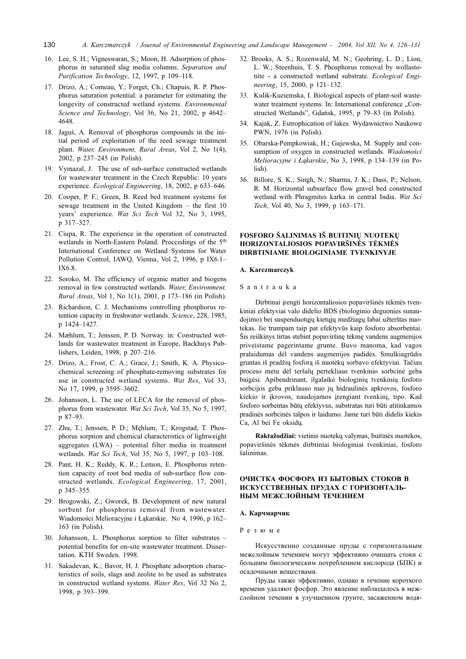- 16. Lee, S. H.; Vigneswaran, S.; Moon, H. Adsorption of phosphorus in saturated slag media columns. Separation and Purification Technology, 12, 1997, p 109-118.
- 17. Drizo, A.; Comeau, Y.; Forget, Ch.; Chapuis, R. P. Phosphorus saturation potential: a parameter for estimating the longevity of constructed wetland systems. Environmental Science and Technology, Vol 36, No 21, 2002, p 4642-4648
- 18. Jaguś, A. Removal of phosphorus compounds in the initial period of exploitation of the reed sewage treatment plant. Water, Environment, Rural Areas, Vol 2, No 1(4), 2002, p 237-245 (in Polish).
- 19. Vymazal, J. The use of sub-surface constructed wetlands for wastewater treatment in the Czech Republic: 10 years experience. Ecological Engineering, 18, 2002, p 633-646.
- 20. Cooper, P. F.; Green, B. Reed bed treatment systems for sewage treatment in the United Kingdom - the first 10 years' experience. Wat Sci Tech Vol 32, No 3, 1995, p 317-327.
- 21. Ciupa, R. The experience in the operation of constructed wetlands in North-Eastern Poland. Proccedings of the 5<sup>th</sup> International Conference on Wetland Systems for Water Pollution Control, IAWQ, Vienna, Vol 2, 1996, p IX6.1-IX6.8.
- 22. Soroko, M. The efficiency of organic matter and biogens removal in few constructed wetlands. Water, Environment, Rural Areas, Vol 1, No 1(1), 2001, p 173-186 (in Polish).
- 23. Richardson, C. J. Mechanisms controlling phosphorus retention capacity in freshwater wetlands. Science, 228, 1985, p 1424-1427.
- 24. Mæhlum, T.; Jenssen, P. D. Norway. in: Constructed wetlands for wastewater treatment in Europe, Backhuys Publishers, Leiden, 1998, p 207-216.
- 25. Drizo, A.; Frost, C. A.; Grace, J.; Smith, K. A. Physicochemical screening of phosphate-removing substrates for use in constructed wetland systems. Wat Res, Vol 33, No 17, 1999, p 3595-3602.
- 26. Johansson, L. The use of LECA for the removal of phosphorus from wastewater. Wat Sci Tech, Vol 35, No 5, 1997, p 87-93.
- 27. Zhu, T.; Jenssen, P. D.; Męhlum, T.; Krogstad, T. Phosphorus sorption and chemical characteristics of lightweight aggregates (LWA) - potential filter media in treatment wetlands. Wat Sci Tech, Vol 35, No 5, 1997, p 103-108.
- 28. Pant, H. K.; Reddy, K. R.; Lemon, E. Phosphorus retention capacity of root bed media of sub-surface flow constructed wetlands. Ecological Engineering, 17, 2001, p 345-355.
- 29. Brogowski, Z.; Gworek, B. Development of new natural sorbent for phosphorus removal from wastewater. Wiadomości Melioracyjne i Łąkarskie. No 4, 1996, p 162– 163 (in Polish).
- 30. Johansson, L. Phosphorus sorption to filter substrates potential benefits for on-site wastewater treatment. Dissertation. KTH Sweden. 1998.
- 31. Sakadevan, K.; Bavor, H. J. Phosphate adsorption characteristics of soils, slags and zeolite to be used as substrates in constructed wetland systems. Water Res, Vol 32 No 2, 1998, p 393-399.
- 32. Brooks, A. S.; Rozenwald, M. N.; Geohring, L. D.; Lion, L. W.; Steenhuis, T. S. Phosphorus removal by wollastonite - a constructed wetland substrate. Ecological Engineering, 15, 2000, p 121-132.
- 33. Kulik-Kuziemska, I. Biological aspects of plant-soil wastewater treatment systems. In: International conference "Constructed Wetlands", Gdańsk, 1995, p 79–83 (in Polish).
- 34. Kajak, Z. Eutrophication of lakes. Wydawnictwo Naukowe PWN, 1976 (in Polish).
- 35. Obarska-Pempkowiak, H.; Gajewska, M. Supply and consumption of oxygen in constructed wetlands. Wiadomości Melioracyjne i Łakarskie, No 3, 1998, p 134–139 (in Po $lish)$
- 36. Billore, S. K.; Singh, N.; Sharma, J. K.; Dass, P.; Nelson, R. M. Horizontal subsurface flow gravel bed constructed wetland with Phragmites karka in central India. Wat Sci Tech, Vol 40, No 3, 1999, p 163-171.

### FOSFORO ŠALINIMAS IŠ BUITINIŲ NUOTEKŲ HORIZONTALIOSIOS POPAVIRŠINĖS TĖKMĖS DIRBTINIAME BIOLOGINIAME TVENKINYJE

#### A. Karczmarczyk

Santrauka

Dirbtinai įrengti horizontaliosios popaviršinės tėkmės tvenkiniai efektyviai valo didelio BDS (biologinio deguonies sunaudojimo) bei suspenduotųjų kietųjų medžiagų labai užterštas nuotekas. Jie trumpam taip pat efektyvūs kaip fosforo absorbentai. Šis reiškinys tirtas stebint popaviršinę tėkmę vandens augmenijos priveistame pagerintame grunte. Buvo manoma, kad vagos pralaidumas dėl vandens augmenijos padidės. Smulkiagrūdis gruntas iš pradžių fosfora iš nuotėkų sorbavo efektyviai. Tačiau proceso metu dėl teršalų pertekliaus tvenkinio sorbcinė geba baigėsi. Apibendrinant, ilgalaikė biologinių tvenkinių fosforo sorbcijos geba priklauso nuo jų hidraulinės apkrovos, fosforo kiekio ir įkrovos, naudojamos įrengiant tvenkinį, tipo. Kad fosforo sorbentas būtų efektyvus, substratas turi būti atitinkamos pradinės sorbcinės talpos ir laidumo. Jame turi būti didelis kiekis Ca, Al bei Fe oksidų.

Raktažodžiai: vietinis nuotekų valymas, buitinės nuotekos, popaviršinės tėkmės dirbtiniai biologiniai tvenkiniai, fosforo šalinimas.

### ОЧИСТКА ФОСФОРА ИЗ БЫТОВЫХ СТОКОВ В ИСКУССТВЕННЫХ ПРУДАХ С ГОРИЗОНТАЛЬ-НЫМ МЕЖСЛОЙНЫМ ТЕЧЕНИЕМ

#### А. Карчмарчик

#### Резюме

Искусственно созданные пруды с горизонтальным межслойным течением могут эффективно очищать стоки с большим биологическим потреблением кислорода (БПК) и осадочными веществами.

Пруды также эффективно, однако в течение короткого времени удаляют фосфор. Это явление наблюдалось в межслойном течении в улучшенном грунте, засаженном водя